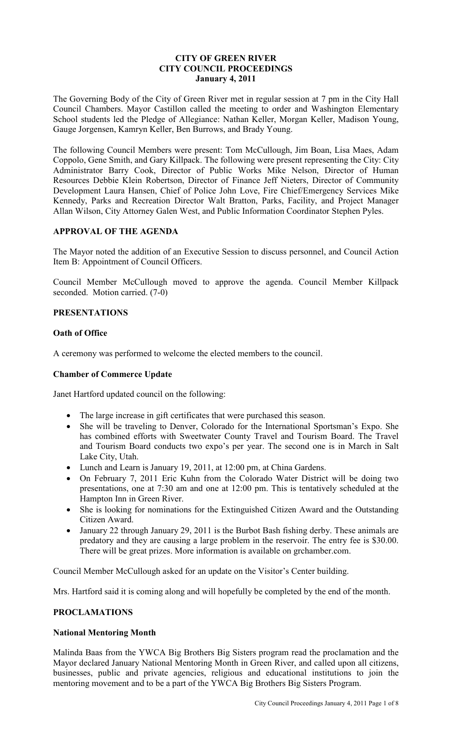## **CITY OF GREEN RIVER CITY COUNCIL PROCEEDINGS January 4, 2011**

The Governing Body of the City of Green River met in regular session at 7 pm in the City Hall Council Chambers. Mayor Castillon called the meeting to order and Washington Elementary School students led the Pledge of Allegiance: Nathan Keller, Morgan Keller, Madison Young, Gauge Jorgensen, Kamryn Keller, Ben Burrows, and Brady Young.

The following Council Members were present: Tom McCullough, Jim Boan, Lisa Maes, Adam Coppolo, Gene Smith, and Gary Killpack. The following were present representing the City: City Administrator Barry Cook, Director of Public Works Mike Nelson, Director of Human Resources Debbie Klein Robertson, Director of Finance Jeff Nieters, Director of Community Development Laura Hansen, Chief of Police John Love, Fire Chief/Emergency Services Mike Kennedy, Parks and Recreation Director Walt Bratton, Parks, Facility, and Project Manager Allan Wilson, City Attorney Galen West, and Public Information Coordinator Stephen Pyles.

# **APPROVAL OF THE AGENDA**

The Mayor noted the addition of an Executive Session to discuss personnel, and Council Action Item B: Appointment of Council Officers.

Council Member McCullough moved to approve the agenda. Council Member Killpack seconded. Motion carried. (7-0)

## **PRESENTATIONS**

### **Oath of Office**

A ceremony was performed to welcome the elected members to the council.

#### **Chamber of Commerce Update**

Janet Hartford updated council on the following:

- The large increase in gift certificates that were purchased this season.
- She will be traveling to Denver, Colorado for the International Sportsman's Expo. She has combined efforts with Sweetwater County Travel and Tourism Board. The Travel and Tourism Board conducts two expo's per year. The second one is in March in Salt Lake City, Utah.
- Lunch and Learn is January 19, 2011, at 12:00 pm, at China Gardens.
- On February 7, 2011 Eric Kuhn from the Colorado Water District will be doing two presentations, one at 7:30 am and one at 12:00 pm. This is tentatively scheduled at the Hampton Inn in Green River.
- She is looking for nominations for the Extinguished Citizen Award and the Outstanding Citizen Award.
- January 22 through January 29, 2011 is the Burbot Bash fishing derby. These animals are predatory and they are causing a large problem in the reservoir. The entry fee is \$30.00. There will be great prizes. More information is available on grchamber.com.

Council Member McCullough asked for an update on the Visitor's Center building.

Mrs. Hartford said it is coming along and will hopefully be completed by the end of the month.

### **PROCLAMATIONS**

#### **National Mentoring Month**

Malinda Baas from the YWCA Big Brothers Big Sisters program read the proclamation and the Mayor declared January National Mentoring Month in Green River, and called upon all citizens, businesses, public and private agencies, religious and educational institutions to join the mentoring movement and to be a part of the YWCA Big Brothers Big Sisters Program.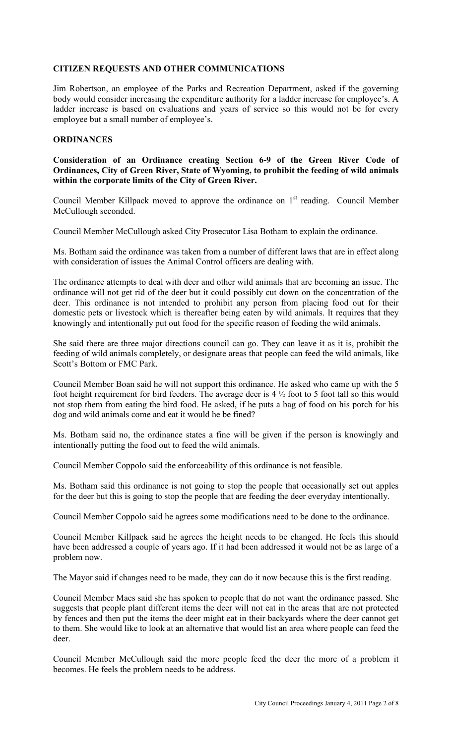## **CITIZEN REQUESTS AND OTHER COMMUNICATIONS**

Jim Robertson, an employee of the Parks and Recreation Department, asked if the governing body would consider increasing the expenditure authority for a ladder increase for employee's. A ladder increase is based on evaluations and years of service so this would not be for every employee but a small number of employee's.

#### **ORDINANCES**

**Consideration of an Ordinance creating Section 6-9 of the Green River Code of Ordinances, City of Green River, State of Wyoming, to prohibit the feeding of wild animals within the corporate limits of the City of Green River.** 

Council Member Killpack moved to approve the ordinance on  $1<sup>st</sup>$  reading. Council Member McCullough seconded.

Council Member McCullough asked City Prosecutor Lisa Botham to explain the ordinance.

Ms. Botham said the ordinance was taken from a number of different laws that are in effect along with consideration of issues the Animal Control officers are dealing with.

The ordinance attempts to deal with deer and other wild animals that are becoming an issue. The ordinance will not get rid of the deer but it could possibly cut down on the concentration of the deer. This ordinance is not intended to prohibit any person from placing food out for their domestic pets or livestock which is thereafter being eaten by wild animals. It requires that they knowingly and intentionally put out food for the specific reason of feeding the wild animals.

She said there are three major directions council can go. They can leave it as it is, prohibit the feeding of wild animals completely, or designate areas that people can feed the wild animals, like Scott's Bottom or FMC Park.

Council Member Boan said he will not support this ordinance. He asked who came up with the 5 foot height requirement for bird feeders. The average deer is 4 ½ foot to 5 foot tall so this would not stop them from eating the bird food. He asked, if he puts a bag of food on his porch for his dog and wild animals come and eat it would he be fined?

Ms. Botham said no, the ordinance states a fine will be given if the person is knowingly and intentionally putting the food out to feed the wild animals.

Council Member Coppolo said the enforceability of this ordinance is not feasible.

Ms. Botham said this ordinance is not going to stop the people that occasionally set out apples for the deer but this is going to stop the people that are feeding the deer everyday intentionally.

Council Member Coppolo said he agrees some modifications need to be done to the ordinance.

Council Member Killpack said he agrees the height needs to be changed. He feels this should have been addressed a couple of years ago. If it had been addressed it would not be as large of a problem now.

The Mayor said if changes need to be made, they can do it now because this is the first reading.

Council Member Maes said she has spoken to people that do not want the ordinance passed. She suggests that people plant different items the deer will not eat in the areas that are not protected by fences and then put the items the deer might eat in their backyards where the deer cannot get to them. She would like to look at an alternative that would list an area where people can feed the deer.

Council Member McCullough said the more people feed the deer the more of a problem it becomes. He feels the problem needs to be address.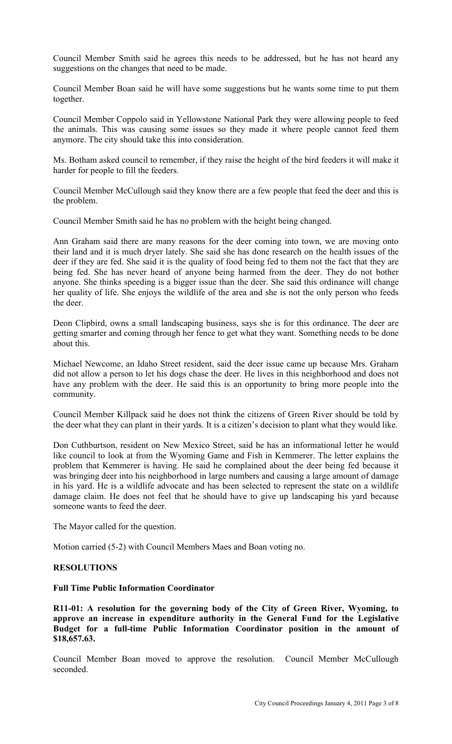Council Member Smith said he agrees this needs to be addressed, but he has not heard any suggestions on the changes that need to be made.

Council Member Boan said he will have some suggestions but he wants some time to put them together.

Council Member Coppolo said in Yellowstone National Park they were allowing people to feed the animals. This was causing some issues so they made it where people cannot feed them anymore. The city should take this into consideration.

Ms. Botham asked council to remember, if they raise the height of the bird feeders it will make it harder for people to fill the feeders.

Council Member McCullough said they know there are a few people that feed the deer and this is the problem.

Council Member Smith said he has no problem with the height being changed.

Ann Graham said there are many reasons for the deer coming into town, we are moving onto their land and it is much dryer lately. She said she has done research on the health issues of the deer if they are fed. She said it is the quality of food being fed to them not the fact that they are being fed. She has never heard of anyone being harmed from the deer. They do not bother anyone. She thinks speeding is a bigger issue than the deer. She said this ordinance will change her quality of life. She enjoys the wildlife of the area and she is not the only person who feeds the deer.

Deon Clipbird, owns a small landscaping business, says she is for this ordinance. The deer are getting smarter and coming through her fence to get what they want. Something needs to be done about this.

Michael Newcome, an Idaho Street resident, said the deer issue came up because Mrs. Graham did not allow a person to let his dogs chase the deer. He lives in this neighborhood and does not have any problem with the deer. He said this is an opportunity to bring more people into the community.

Council Member Killpack said he does not think the citizens of Green River should be told by the deer what they can plant in their yards. It is a citizen's decision to plant what they would like.

Don Cuthburtson, resident on New Mexico Street, said he has an informational letter he would like council to look at from the Wyoming Game and Fish in Kemmerer. The letter explains the problem that Kemmerer is having. He said he complained about the deer being fed because it was bringing deer into his neighborhood in large numbers and causing a large amount of damage in his yard. He is a wildlife advocate and has been selected to represent the state on a wildlife damage claim. He does not feel that he should have to give up landscaping his yard because someone wants to feed the deer.

The Mayor called for the question.

Motion carried (5-2) with Council Members Maes and Boan voting no.

### **RESOLUTIONS**

#### **Full Time Public Information Coordinator**

**R11-01: A resolution for the governing body of the City of Green River, Wyoming, to approve an increase in expenditure authority in the General Fund for the Legislative Budget for a full-time Public Information Coordinator position in the amount of \$18,657.63.**

Council Member Boan moved to approve the resolution. Council Member McCullough seconded.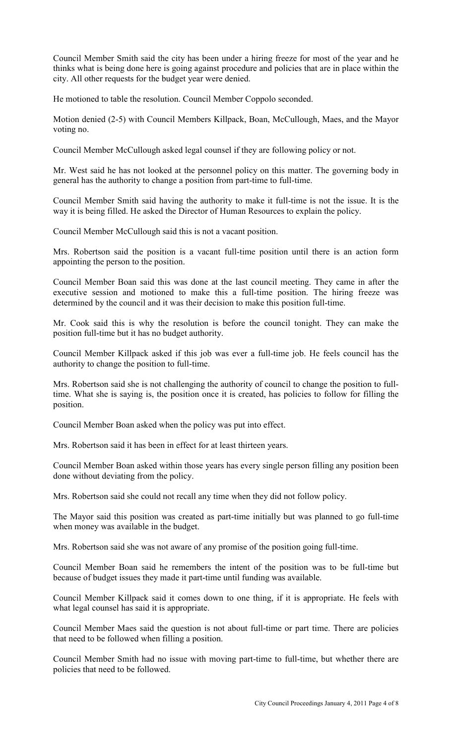Council Member Smith said the city has been under a hiring freeze for most of the year and he thinks what is being done here is going against procedure and policies that are in place within the city. All other requests for the budget year were denied.

He motioned to table the resolution. Council Member Coppolo seconded.

Motion denied (2-5) with Council Members Killpack, Boan, McCullough, Maes, and the Mayor voting no.

Council Member McCullough asked legal counsel if they are following policy or not.

Mr. West said he has not looked at the personnel policy on this matter. The governing body in general has the authority to change a position from part-time to full-time.

Council Member Smith said having the authority to make it full-time is not the issue. It is the way it is being filled. He asked the Director of Human Resources to explain the policy.

Council Member McCullough said this is not a vacant position.

Mrs. Robertson said the position is a vacant full-time position until there is an action form appointing the person to the position.

Council Member Boan said this was done at the last council meeting. They came in after the executive session and motioned to make this a full-time position. The hiring freeze was determined by the council and it was their decision to make this position full-time.

Mr. Cook said this is why the resolution is before the council tonight. They can make the position full-time but it has no budget authority.

Council Member Killpack asked if this job was ever a full-time job. He feels council has the authority to change the position to full-time.

Mrs. Robertson said she is not challenging the authority of council to change the position to fulltime. What she is saying is, the position once it is created, has policies to follow for filling the position.

Council Member Boan asked when the policy was put into effect.

Mrs. Robertson said it has been in effect for at least thirteen years.

Council Member Boan asked within those years has every single person filling any position been done without deviating from the policy.

Mrs. Robertson said she could not recall any time when they did not follow policy.

The Mayor said this position was created as part-time initially but was planned to go full-time when money was available in the budget.

Mrs. Robertson said she was not aware of any promise of the position going full-time.

Council Member Boan said he remembers the intent of the position was to be full-time but because of budget issues they made it part-time until funding was available.

Council Member Killpack said it comes down to one thing, if it is appropriate. He feels with what legal counsel has said it is appropriate.

Council Member Maes said the question is not about full-time or part time. There are policies that need to be followed when filling a position.

Council Member Smith had no issue with moving part-time to full-time, but whether there are policies that need to be followed.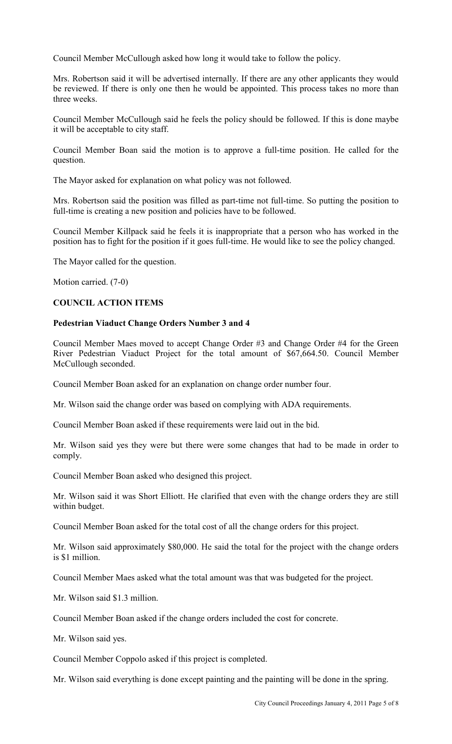Council Member McCullough asked how long it would take to follow the policy.

Mrs. Robertson said it will be advertised internally. If there are any other applicants they would be reviewed. If there is only one then he would be appointed. This process takes no more than three weeks.

Council Member McCullough said he feels the policy should be followed. If this is done maybe it will be acceptable to city staff.

Council Member Boan said the motion is to approve a full-time position. He called for the question.

The Mayor asked for explanation on what policy was not followed.

Mrs. Robertson said the position was filled as part-time not full-time. So putting the position to full-time is creating a new position and policies have to be followed.

Council Member Killpack said he feels it is inappropriate that a person who has worked in the position has to fight for the position if it goes full-time. He would like to see the policy changed.

The Mayor called for the question.

Motion carried. (7-0)

### **COUNCIL ACTION ITEMS**

### **Pedestrian Viaduct Change Orders Number 3 and 4**

Council Member Maes moved to accept Change Order #3 and Change Order #4 for the Green River Pedestrian Viaduct Project for the total amount of \$67,664.50. Council Member McCullough seconded.

Council Member Boan asked for an explanation on change order number four.

Mr. Wilson said the change order was based on complying with ADA requirements.

Council Member Boan asked if these requirements were laid out in the bid.

Mr. Wilson said yes they were but there were some changes that had to be made in order to comply.

Council Member Boan asked who designed this project.

Mr. Wilson said it was Short Elliott. He clarified that even with the change orders they are still within budget.

Council Member Boan asked for the total cost of all the change orders for this project.

Mr. Wilson said approximately \$80,000. He said the total for the project with the change orders is \$1 million.

Council Member Maes asked what the total amount was that was budgeted for the project.

Mr. Wilson said \$1.3 million.

Council Member Boan asked if the change orders included the cost for concrete.

Mr. Wilson said yes.

Council Member Coppolo asked if this project is completed.

Mr. Wilson said everything is done except painting and the painting will be done in the spring.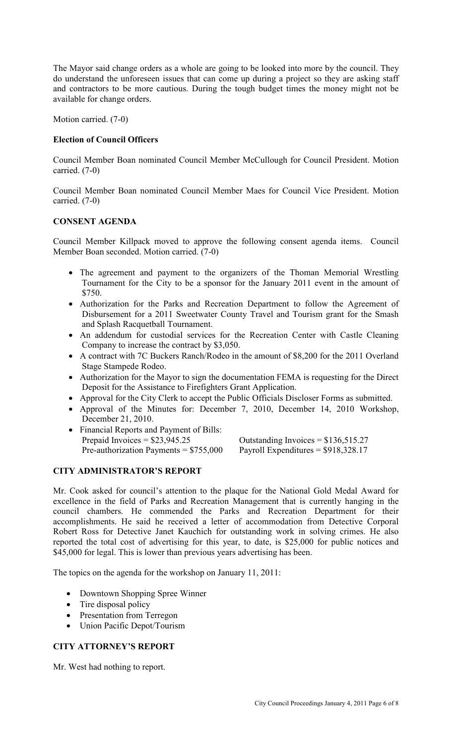The Mayor said change orders as a whole are going to be looked into more by the council. They do understand the unforeseen issues that can come up during a project so they are asking staff and contractors to be more cautious. During the tough budget times the money might not be available for change orders.

Motion carried. (7-0)

### **Election of Council Officers**

Council Member Boan nominated Council Member McCullough for Council President. Motion carried. (7-0)

Council Member Boan nominated Council Member Maes for Council Vice President. Motion carried. (7-0)

### **CONSENT AGENDA**

Council Member Killpack moved to approve the following consent agenda items. Council Member Boan seconded. Motion carried. (7-0)

- The agreement and payment to the organizers of the Thoman Memorial Wrestling Tournament for the City to be a sponsor for the January 2011 event in the amount of \$750.
- Authorization for the Parks and Recreation Department to follow the Agreement of Disbursement for a 2011 Sweetwater County Travel and Tourism grant for the Smash and Splash Racquetball Tournament.
- An addendum for custodial services for the Recreation Center with Castle Cleaning Company to increase the contract by \$3,050.
- A contract with 7C Buckers Ranch/Rodeo in the amount of \$8,200 for the 2011 Overland Stage Stampede Rodeo.
- Authorization for the Mayor to sign the documentation FEMA is requesting for the Direct Deposit for the Assistance to Firefighters Grant Application.
- Approval for the City Clerk to accept the Public Officials Discloser Forms as submitted.
- Approval of the Minutes for: December 7, 2010, December 14, 2010 Workshop, December 21, 2010.
- Financial Reports and Payment of Bills: Prepaid Invoices =  $$23,945.25$  Outstanding Invoices =  $$136,515.27$ Pre-authorization Payments =  $$755,000$  Payroll Expenditures =  $$918,328.17$

### **CITY ADMINISTRATOR'S REPORT**

Mr. Cook asked for council's attention to the plaque for the National Gold Medal Award for excellence in the field of Parks and Recreation Management that is currently hanging in the council chambers. He commended the Parks and Recreation Department for their accomplishments. He said he received a letter of accommodation from Detective Corporal Robert Ross for Detective Janet Kauchich for outstanding work in solving crimes. He also reported the total cost of advertising for this year, to date, is \$25,000 for public notices and \$45,000 for legal. This is lower than previous years advertising has been.

The topics on the agenda for the workshop on January 11, 2011:

- Downtown Shopping Spree Winner
- Tire disposal policy
- Presentation from Terregon
- Union Pacific Depot/Tourism

### **CITY ATTORNEY'S REPORT**

Mr. West had nothing to report.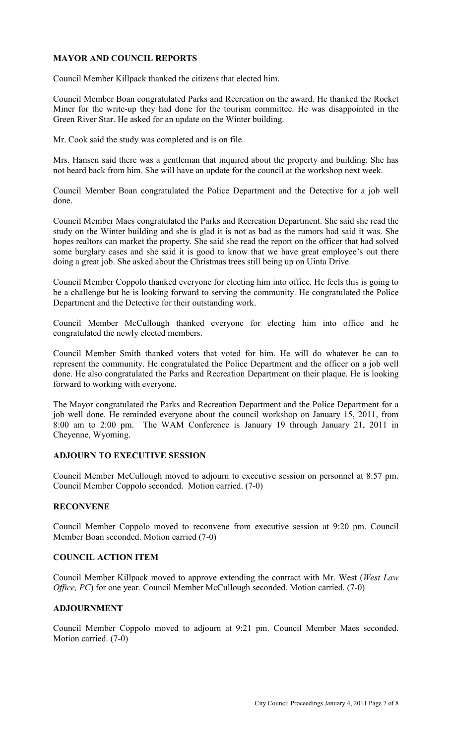# **MAYOR AND COUNCIL REPORTS**

Council Member Killpack thanked the citizens that elected him.

Council Member Boan congratulated Parks and Recreation on the award. He thanked the Rocket Miner for the write-up they had done for the tourism committee. He was disappointed in the Green River Star. He asked for an update on the Winter building.

Mr. Cook said the study was completed and is on file.

Mrs. Hansen said there was a gentleman that inquired about the property and building. She has not heard back from him. She will have an update for the council at the workshop next week.

Council Member Boan congratulated the Police Department and the Detective for a job well done.

Council Member Maes congratulated the Parks and Recreation Department. She said she read the study on the Winter building and she is glad it is not as bad as the rumors had said it was. She hopes realtors can market the property. She said she read the report on the officer that had solved some burglary cases and she said it is good to know that we have great employee's out there doing a great job. She asked about the Christmas trees still being up on Uinta Drive.

Council Member Coppolo thanked everyone for electing him into office. He feels this is going to be a challenge but he is looking forward to serving the community. He congratulated the Police Department and the Detective for their outstanding work.

Council Member McCullough thanked everyone for electing him into office and he congratulated the newly elected members.

Council Member Smith thanked voters that voted for him. He will do whatever he can to represent the community. He congratulated the Police Department and the officer on a job well done. He also congratulated the Parks and Recreation Department on their plaque. He is looking forward to working with everyone.

The Mayor congratulated the Parks and Recreation Department and the Police Department for a job well done. He reminded everyone about the council workshop on January 15, 2011, from 8:00 am to 2:00 pm. The WAM Conference is January 19 through January 21, 2011 in Cheyenne, Wyoming.

#### **ADJOURN TO EXECUTIVE SESSION**

Council Member McCullough moved to adjourn to executive session on personnel at 8:57 pm. Council Member Coppolo seconded. Motion carried. (7-0)

### **RECONVENE**

Council Member Coppolo moved to reconvene from executive session at 9:20 pm. Council Member Boan seconded. Motion carried (7-0)

### **COUNCIL ACTION ITEM**

Council Member Killpack moved to approve extending the contract with Mr. West (*West Law Office, PC*) for one year. Council Member McCullough seconded. Motion carried. (7-0)

# **ADJOURNMENT**

Council Member Coppolo moved to adjourn at 9:21 pm. Council Member Maes seconded. Motion carried. (7-0)